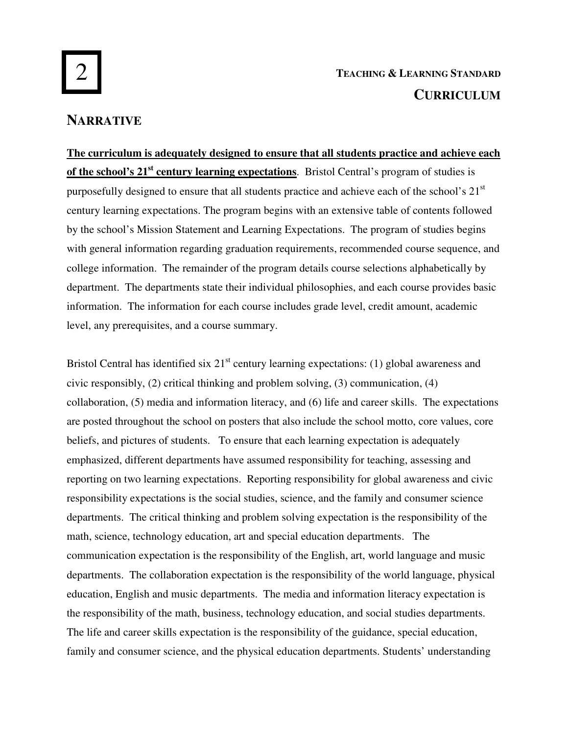# 2

# **TEACHING & LEARNING STANDARD CURRICULUM**

## **NARRATIVE**

**The curriculum is adequately designed to ensure that all students practice and achieve each of the school's 21st century learning expectations**. Bristol Central's program of studies is purposefully designed to ensure that all students practice and achieve each of the school's  $21<sup>st</sup>$ century learning expectations. The program begins with an extensive table of contents followed by the school's Mission Statement and Learning Expectations. The program of studies begins with general information regarding graduation requirements, recommended course sequence, and college information. The remainder of the program details course selections alphabetically by department. The departments state their individual philosophies, and each course provides basic information. The information for each course includes grade level, credit amount, academic level, any prerequisites, and a course summary.

Bristol Central has identified six  $21<sup>st</sup>$  century learning expectations: (1) global awareness and civic responsibly, (2) critical thinking and problem solving, (3) communication, (4) collaboration, (5) media and information literacy, and (6) life and career skills. The expectations are posted throughout the school on posters that also include the school motto, core values, core beliefs, and pictures of students. To ensure that each learning expectation is adequately emphasized, different departments have assumed responsibility for teaching, assessing and reporting on two learning expectations. Reporting responsibility for global awareness and civic responsibility expectations is the social studies, science, and the family and consumer science departments. The critical thinking and problem solving expectation is the responsibility of the math, science, technology education, art and special education departments. The communication expectation is the responsibility of the English, art, world language and music departments. The collaboration expectation is the responsibility of the world language, physical education, English and music departments. The media and information literacy expectation is the responsibility of the math, business, technology education, and social studies departments. The life and career skills expectation is the responsibility of the guidance, special education, family and consumer science, and the physical education departments. Students' understanding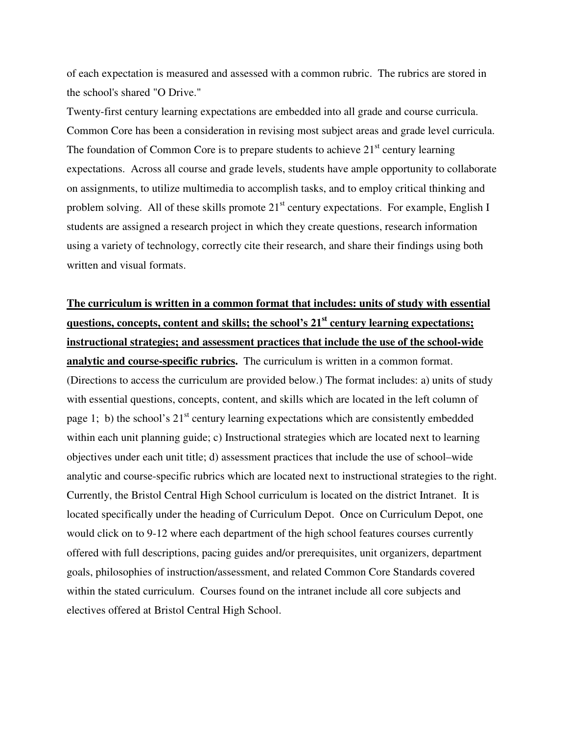of each expectation is measured and assessed with a common rubric. The rubrics are stored in the school's shared "O Drive."

Twenty-first century learning expectations are embedded into all grade and course curricula. Common Core has been a consideration in revising most subject areas and grade level curricula. The foundation of Common Core is to prepare students to achieve  $21<sup>st</sup>$  century learning expectations. Across all course and grade levels, students have ample opportunity to collaborate on assignments, to utilize multimedia to accomplish tasks, and to employ critical thinking and problem solving. All of these skills promote  $21<sup>st</sup>$  century expectations. For example, English I students are assigned a research project in which they create questions, research information using a variety of technology, correctly cite their research, and share their findings using both written and visual formats.

## **The curriculum is written in a common format that includes: units of study with essential questions, concepts, content and skills; the school's 21st century learning expectations; instructional strategies; and assessment practices that include the use of the school-wide**

**analytic and course-specific rubrics.** The curriculum is written in a common format. (Directions to access the curriculum are provided below.) The format includes: a) units of study with essential questions, concepts, content, and skills which are located in the left column of page 1; b) the school's  $21<sup>st</sup>$  century learning expectations which are consistently embedded within each unit planning guide; c) Instructional strategies which are located next to learning objectives under each unit title; d) assessment practices that include the use of school–wide analytic and course-specific rubrics which are located next to instructional strategies to the right. Currently, the Bristol Central High School curriculum is located on the district Intranet. It is located specifically under the heading of Curriculum Depot. Once on Curriculum Depot, one would click on to 9-12 where each department of the high school features courses currently offered with full descriptions, pacing guides and/or prerequisites, unit organizers, department goals, philosophies of instruction/assessment, and related Common Core Standards covered within the stated curriculum. Courses found on the intranet include all core subjects and electives offered at Bristol Central High School.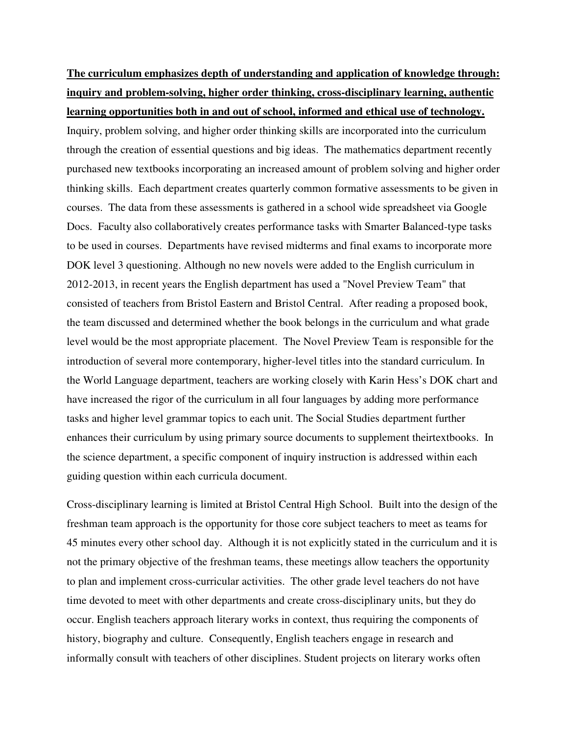## **The curriculum emphasizes depth of understanding and application of knowledge through: inquiry and problem-solving, higher order thinking, cross-disciplinary learning, authentic learning opportunities both in and out of school, informed and ethical use of technology.**

Inquiry, problem solving, and higher order thinking skills are incorporated into the curriculum through the creation of essential questions and big ideas. The mathematics department recently purchased new textbooks incorporating an increased amount of problem solving and higher order thinking skills. Each department creates quarterly common formative assessments to be given in courses. The data from these assessments is gathered in a school wide spreadsheet via Google Docs. Faculty also collaboratively creates performance tasks with Smarter Balanced-type tasks to be used in courses. Departments have revised midterms and final exams to incorporate more DOK level 3 questioning. Although no new novels were added to the English curriculum in 2012-2013, in recent years the English department has used a "Novel Preview Team" that consisted of teachers from Bristol Eastern and Bristol Central. After reading a proposed book, the team discussed and determined whether the book belongs in the curriculum and what grade level would be the most appropriate placement. The Novel Preview Team is responsible for the introduction of several more contemporary, higher-level titles into the standard curriculum. In the World Language department, teachers are working closely with Karin Hess's DOK chart and have increased the rigor of the curriculum in all four languages by adding more performance tasks and higher level grammar topics to each unit. The Social Studies department further enhances their curriculum by using primary source documents to supplement theirtextbooks. In the science department, a specific component of inquiry instruction is addressed within each guiding question within each curricula document.

Cross-disciplinary learning is limited at Bristol Central High School. Built into the design of the freshman team approach is the opportunity for those core subject teachers to meet as teams for 45 minutes every other school day. Although it is not explicitly stated in the curriculum and it is not the primary objective of the freshman teams, these meetings allow teachers the opportunity to plan and implement cross-curricular activities. The other grade level teachers do not have time devoted to meet with other departments and create cross-disciplinary units, but they do occur. English teachers approach literary works in context, thus requiring the components of history, biography and culture. Consequently, English teachers engage in research and informally consult with teachers of other disciplines. Student projects on literary works often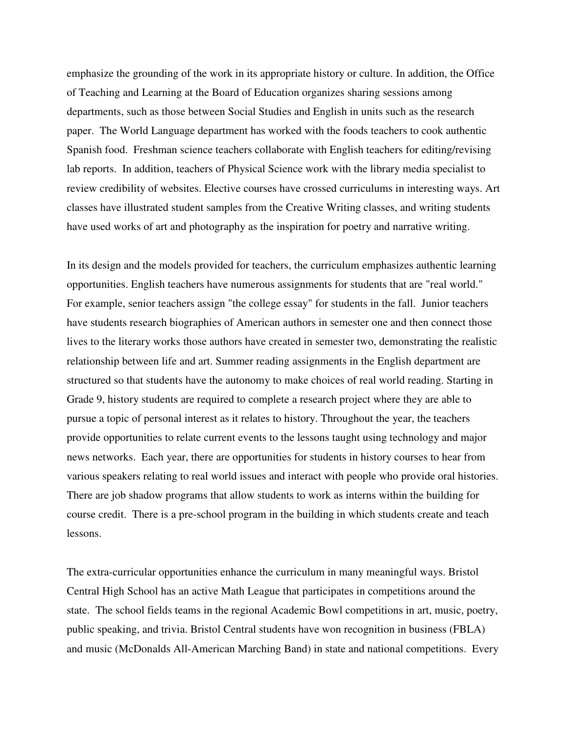emphasize the grounding of the work in its appropriate history or culture. In addition, the Office of Teaching and Learning at the Board of Education organizes sharing sessions among departments, such as those between Social Studies and English in units such as the research paper. The World Language department has worked with the foods teachers to cook authentic Spanish food. Freshman science teachers collaborate with English teachers for editing/revising lab reports. In addition, teachers of Physical Science work with the library media specialist to review credibility of websites. Elective courses have crossed curriculums in interesting ways. Art classes have illustrated student samples from the Creative Writing classes, and writing students have used works of art and photography as the inspiration for poetry and narrative writing.

In its design and the models provided for teachers, the curriculum emphasizes authentic learning opportunities. English teachers have numerous assignments for students that are "real world." For example, senior teachers assign "the college essay" for students in the fall. Junior teachers have students research biographies of American authors in semester one and then connect those lives to the literary works those authors have created in semester two, demonstrating the realistic relationship between life and art. Summer reading assignments in the English department are structured so that students have the autonomy to make choices of real world reading. Starting in Grade 9, history students are required to complete a research project where they are able to pursue a topic of personal interest as it relates to history. Throughout the year, the teachers provide opportunities to relate current events to the lessons taught using technology and major news networks. Each year, there are opportunities for students in history courses to hear from various speakers relating to real world issues and interact with people who provide oral histories. There are job shadow programs that allow students to work as interns within the building for course credit. There is a pre-school program in the building in which students create and teach lessons.

The extra-curricular opportunities enhance the curriculum in many meaningful ways. Bristol Central High School has an active Math League that participates in competitions around the state. The school fields teams in the regional Academic Bowl competitions in art, music, poetry, public speaking, and trivia. Bristol Central students have won recognition in business (FBLA) and music (McDonalds All-American Marching Band) in state and national competitions. Every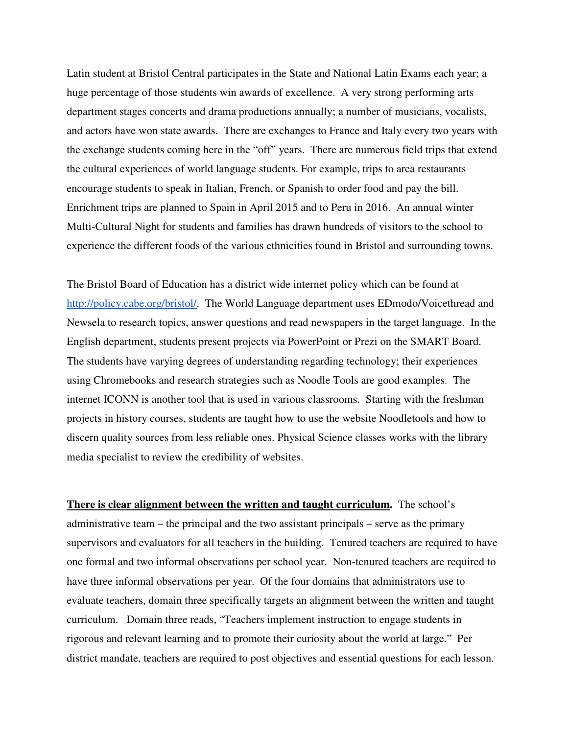Latin student at Bristol Central participates in the State and National Latin Exams each year; a huge percentage of those students win awards of excellence. A very strong performing arts department stages concerts and drama productions annually; a number of musicians, vocalists, and actors have won state awards. There are exchanges to France and Italy every two years with the exchange students coming here in the "off" years. There are numerous field trips that extend the cultural experiences of world language students. For example, trips to area restaurants encourage students to speak in Italian, French, or Spanish to order food and pay the bill. Enrichment trips are planned to Spain in April 2015 and to Peru in 2016. An annual winter Multi-Cultural Night for students and families has drawn hundreds of visitors to the school to experience the different foods of the various ethnicities found in Bristol and surrounding towns.

The Bristol Board of Education has a district wide internet policy which can be found at http://policy.cabe.org/bristol/. The World Language department uses EDmodo/Voicethread and Newsela to research topics, answer questions and read newspapers in the target language. In the English department, students present projects via PowerPoint or Prezi on the SMART Board. The students have varying degrees of understanding regarding technology; their experiences using Chromebooks and research strategies such as Noodle Tools are good examples. The internet ICONN is another tool that is used in various classrooms. Starting with the freshman projects in history courses, students are taught how to use the website Noodletools and how to discern quality sources from less reliable ones. Physical Science classes works with the library media specialist to review the credibility of websites.

**There is clear alignment between the written and taught curriculum.** The school's administrative team – the principal and the two assistant principals – serve as the primary supervisors and evaluators for all teachers in the building. Tenured teachers are required to have one formal and two informal observations per school year. Non-tenured teachers are required to have three informal observations per year. Of the four domains that administrators use to evaluate teachers, domain three specifically targets an alignment between the written and taught curriculum. Domain three reads, "Teachers implement instruction to engage students in rigorous and relevant learning and to promote their curiosity about the world at large." Per district mandate, teachers are required to post objectives and essential questions for each lesson.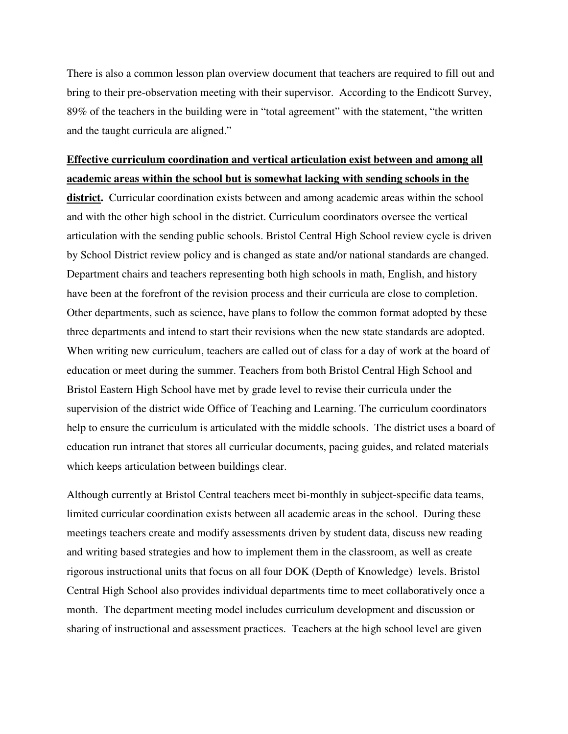There is also a common lesson plan overview document that teachers are required to fill out and bring to their pre-observation meeting with their supervisor. According to the Endicott Survey, 89% of the teachers in the building were in "total agreement" with the statement, "the written and the taught curricula are aligned."

## **Effective curriculum coordination and vertical articulation exist between and among all academic areas within the school but is somewhat lacking with sending schools in the**

**district.** Curricular coordination exists between and among academic areas within the school and with the other high school in the district. Curriculum coordinators oversee the vertical articulation with the sending public schools. Bristol Central High School review cycle is driven by School District review policy and is changed as state and/or national standards are changed. Department chairs and teachers representing both high schools in math, English, and history have been at the forefront of the revision process and their curricula are close to completion. Other departments, such as science, have plans to follow the common format adopted by these three departments and intend to start their revisions when the new state standards are adopted. When writing new curriculum, teachers are called out of class for a day of work at the board of education or meet during the summer. Teachers from both Bristol Central High School and Bristol Eastern High School have met by grade level to revise their curricula under the supervision of the district wide Office of Teaching and Learning. The curriculum coordinators help to ensure the curriculum is articulated with the middle schools. The district uses a board of education run intranet that stores all curricular documents, pacing guides, and related materials which keeps articulation between buildings clear.

Although currently at Bristol Central teachers meet bi-monthly in subject-specific data teams, limited curricular coordination exists between all academic areas in the school. During these meetings teachers create and modify assessments driven by student data, discuss new reading and writing based strategies and how to implement them in the classroom, as well as create rigorous instructional units that focus on all four DOK (Depth of Knowledge) levels. Bristol Central High School also provides individual departments time to meet collaboratively once a month. The department meeting model includes curriculum development and discussion or sharing of instructional and assessment practices. Teachers at the high school level are given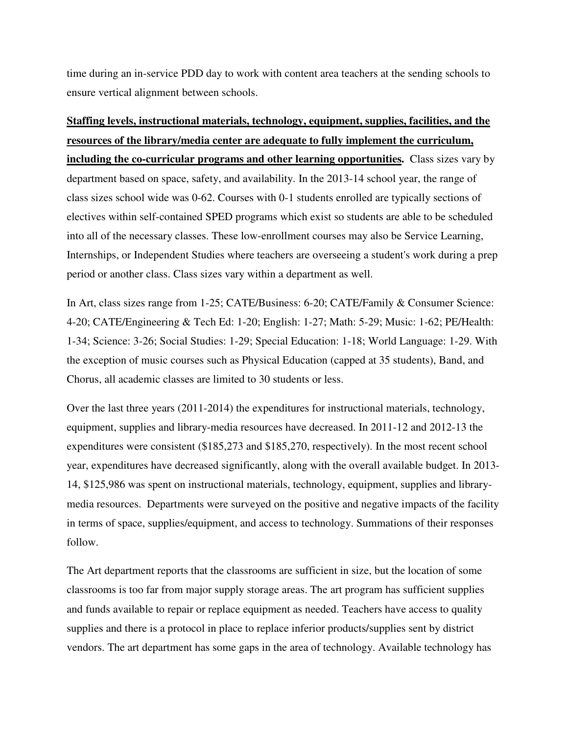time during an in-service PDD day to work with content area teachers at the sending schools to ensure vertical alignment between schools.

# **Staffing levels, instructional materials, technology, equipment, supplies, facilities, and the resources of the library/media center are adequate to fully implement the curriculum,**

**including the co-curricular programs and other learning opportunities.** Class sizes vary by department based on space, safety, and availability. In the 2013-14 school year, the range of class sizes school wide was 0-62. Courses with 0-1 students enrolled are typically sections of electives within self-contained SPED programs which exist so students are able to be scheduled into all of the necessary classes. These low-enrollment courses may also be Service Learning, Internships, or Independent Studies where teachers are overseeing a student's work during a prep period or another class. Class sizes vary within a department as well.

In Art, class sizes range from 1-25; CATE/Business: 6-20; CATE/Family & Consumer Science: 4-20; CATE/Engineering & Tech Ed: 1-20; English: 1-27; Math: 5-29; Music: 1-62; PE/Health: 1-34; Science: 3-26; Social Studies: 1-29; Special Education: 1-18; World Language: 1-29. With the exception of music courses such as Physical Education (capped at 35 students), Band, and Chorus, all academic classes are limited to 30 students or less.

Over the last three years (2011-2014) the expenditures for instructional materials, technology, equipment, supplies and library-media resources have decreased. In 2011-12 and 2012-13 the expenditures were consistent (\$185,273 and \$185,270, respectively). In the most recent school year, expenditures have decreased significantly, along with the overall available budget. In 2013- 14, \$125,986 was spent on instructional materials, technology, equipment, supplies and librarymedia resources. Departments were surveyed on the positive and negative impacts of the facility in terms of space, supplies/equipment, and access to technology. Summations of their responses follow.

The Art department reports that the classrooms are sufficient in size, but the location of some classrooms is too far from major supply storage areas. The art program has sufficient supplies and funds available to repair or replace equipment as needed. Teachers have access to quality supplies and there is a protocol in place to replace inferior products/supplies sent by district vendors. The art department has some gaps in the area of technology. Available technology has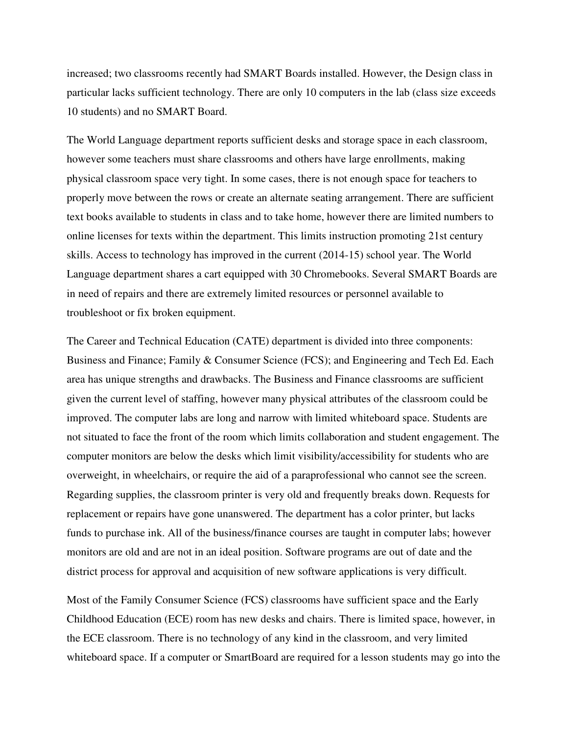increased; two classrooms recently had SMART Boards installed. However, the Design class in particular lacks sufficient technology. There are only 10 computers in the lab (class size exceeds 10 students) and no SMART Board.

The World Language department reports sufficient desks and storage space in each classroom, however some teachers must share classrooms and others have large enrollments, making physical classroom space very tight. In some cases, there is not enough space for teachers to properly move between the rows or create an alternate seating arrangement. There are sufficient text books available to students in class and to take home, however there are limited numbers to online licenses for texts within the department. This limits instruction promoting 21st century skills. Access to technology has improved in the current (2014-15) school year. The World Language department shares a cart equipped with 30 Chromebooks. Several SMART Boards are in need of repairs and there are extremely limited resources or personnel available to troubleshoot or fix broken equipment.

The Career and Technical Education (CATE) department is divided into three components: Business and Finance; Family & Consumer Science (FCS); and Engineering and Tech Ed. Each area has unique strengths and drawbacks. The Business and Finance classrooms are sufficient given the current level of staffing, however many physical attributes of the classroom could be improved. The computer labs are long and narrow with limited whiteboard space. Students are not situated to face the front of the room which limits collaboration and student engagement. The computer monitors are below the desks which limit visibility/accessibility for students who are overweight, in wheelchairs, or require the aid of a paraprofessional who cannot see the screen. Regarding supplies, the classroom printer is very old and frequently breaks down. Requests for replacement or repairs have gone unanswered. The department has a color printer, but lacks funds to purchase ink. All of the business/finance courses are taught in computer labs; however monitors are old and are not in an ideal position. Software programs are out of date and the district process for approval and acquisition of new software applications is very difficult.

Most of the Family Consumer Science (FCS) classrooms have sufficient space and the Early Childhood Education (ECE) room has new desks and chairs. There is limited space, however, in the ECE classroom. There is no technology of any kind in the classroom, and very limited whiteboard space. If a computer or SmartBoard are required for a lesson students may go into the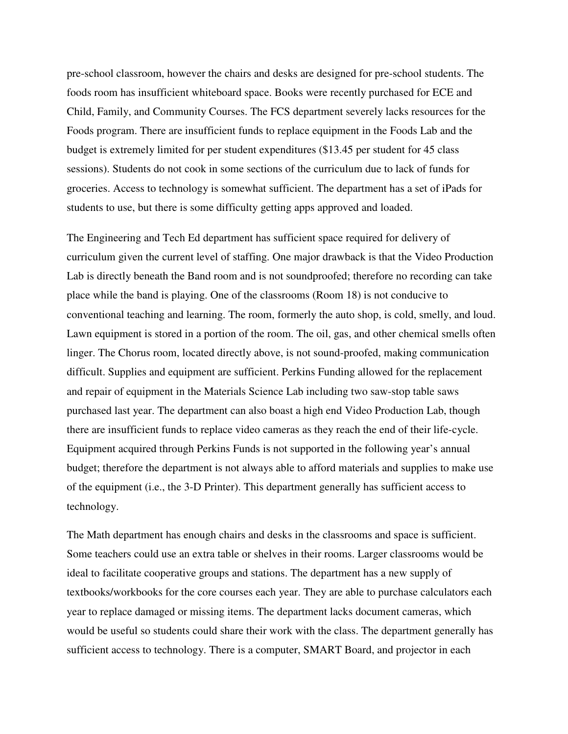pre-school classroom, however the chairs and desks are designed for pre-school students. The foods room has insufficient whiteboard space. Books were recently purchased for ECE and Child, Family, and Community Courses. The FCS department severely lacks resources for the Foods program. There are insufficient funds to replace equipment in the Foods Lab and the budget is extremely limited for per student expenditures (\$13.45 per student for 45 class sessions). Students do not cook in some sections of the curriculum due to lack of funds for groceries. Access to technology is somewhat sufficient. The department has a set of iPads for students to use, but there is some difficulty getting apps approved and loaded.

The Engineering and Tech Ed department has sufficient space required for delivery of curriculum given the current level of staffing. One major drawback is that the Video Production Lab is directly beneath the Band room and is not soundproofed; therefore no recording can take place while the band is playing. One of the classrooms (Room 18) is not conducive to conventional teaching and learning. The room, formerly the auto shop, is cold, smelly, and loud. Lawn equipment is stored in a portion of the room. The oil, gas, and other chemical smells often linger. The Chorus room, located directly above, is not sound-proofed, making communication difficult. Supplies and equipment are sufficient. Perkins Funding allowed for the replacement and repair of equipment in the Materials Science Lab including two saw-stop table saws purchased last year. The department can also boast a high end Video Production Lab, though there are insufficient funds to replace video cameras as they reach the end of their life-cycle. Equipment acquired through Perkins Funds is not supported in the following year's annual budget; therefore the department is not always able to afford materials and supplies to make use of the equipment (i.e., the 3-D Printer). This department generally has sufficient access to technology.

The Math department has enough chairs and desks in the classrooms and space is sufficient. Some teachers could use an extra table or shelves in their rooms. Larger classrooms would be ideal to facilitate cooperative groups and stations. The department has a new supply of textbooks/workbooks for the core courses each year. They are able to purchase calculators each year to replace damaged or missing items. The department lacks document cameras, which would be useful so students could share their work with the class. The department generally has sufficient access to technology. There is a computer, SMART Board, and projector in each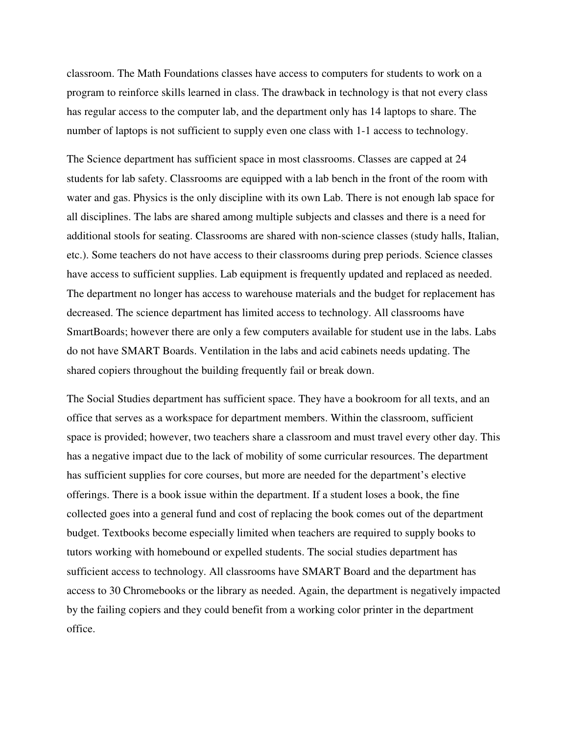classroom. The Math Foundations classes have access to computers for students to work on a program to reinforce skills learned in class. The drawback in technology is that not every class has regular access to the computer lab, and the department only has 14 laptops to share. The number of laptops is not sufficient to supply even one class with 1-1 access to technology.

The Science department has sufficient space in most classrooms. Classes are capped at 24 students for lab safety. Classrooms are equipped with a lab bench in the front of the room with water and gas. Physics is the only discipline with its own Lab. There is not enough lab space for all disciplines. The labs are shared among multiple subjects and classes and there is a need for additional stools for seating. Classrooms are shared with non-science classes (study halls, Italian, etc.). Some teachers do not have access to their classrooms during prep periods. Science classes have access to sufficient supplies. Lab equipment is frequently updated and replaced as needed. The department no longer has access to warehouse materials and the budget for replacement has decreased. The science department has limited access to technology. All classrooms have SmartBoards; however there are only a few computers available for student use in the labs. Labs do not have SMART Boards. Ventilation in the labs and acid cabinets needs updating. The shared copiers throughout the building frequently fail or break down.

The Social Studies department has sufficient space. They have a bookroom for all texts, and an office that serves as a workspace for department members. Within the classroom, sufficient space is provided; however, two teachers share a classroom and must travel every other day. This has a negative impact due to the lack of mobility of some curricular resources. The department has sufficient supplies for core courses, but more are needed for the department's elective offerings. There is a book issue within the department. If a student loses a book, the fine collected goes into a general fund and cost of replacing the book comes out of the department budget. Textbooks become especially limited when teachers are required to supply books to tutors working with homebound or expelled students. The social studies department has sufficient access to technology. All classrooms have SMART Board and the department has access to 30 Chromebooks or the library as needed. Again, the department is negatively impacted by the failing copiers and they could benefit from a working color printer in the department office.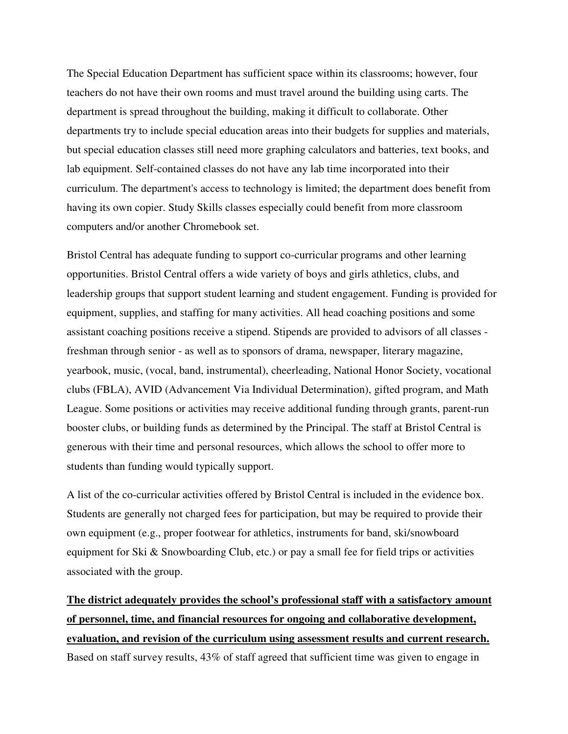The Special Education Department has sufficient space within its classrooms; however, four teachers do not have their own rooms and must travel around the building using carts. The department is spread throughout the building, making it difficult to collaborate. Other departments try to include special education areas into their budgets for supplies and materials, but special education classes still need more graphing calculators and batteries, text books, and lab equipment. Self-contained classes do not have any lab time incorporated into their curriculum. The department's access to technology is limited; the department does benefit from having its own copier. Study Skills classes especially could benefit from more classroom computers and/or another Chromebook set.

Bristol Central has adequate funding to support co-curricular programs and other learning opportunities. Bristol Central offers a wide variety of boys and girls athletics, clubs, and leadership groups that support student learning and student engagement. Funding is provided for equipment, supplies, and staffing for many activities. All head coaching positions and some assistant coaching positions receive a stipend. Stipends are provided to advisors of all classes freshman through senior - as well as to sponsors of drama, newspaper, literary magazine, yearbook, music, (vocal, band, instrumental), cheerleading, National Honor Society, vocational clubs (FBLA), AVID (Advancement Via Individual Determination), gifted program, and Math League. Some positions or activities may receive additional funding through grants, parent-run booster clubs, or building funds as determined by the Principal. The staff at Bristol Central is generous with their time and personal resources, which allows the school to offer more to students than funding would typically support.

A list of the co-curricular activities offered by Bristol Central is included in the evidence box. Students are generally not charged fees for participation, but may be required to provide their own equipment (e.g., proper footwear for athletics, instruments for band, ski/snowboard equipment for Ski  $\&$  Snowboarding Club, etc.) or pay a small fee for field trips or activities associated with the group.

**The district adequately provides the school's professional staff with a satisfactory amount of personnel, time, and financial resources for ongoing and collaborative development, evaluation, and revision of the curriculum using assessment results and current research.** Based on staff survey results, 43% of staff agreed that sufficient time was given to engage in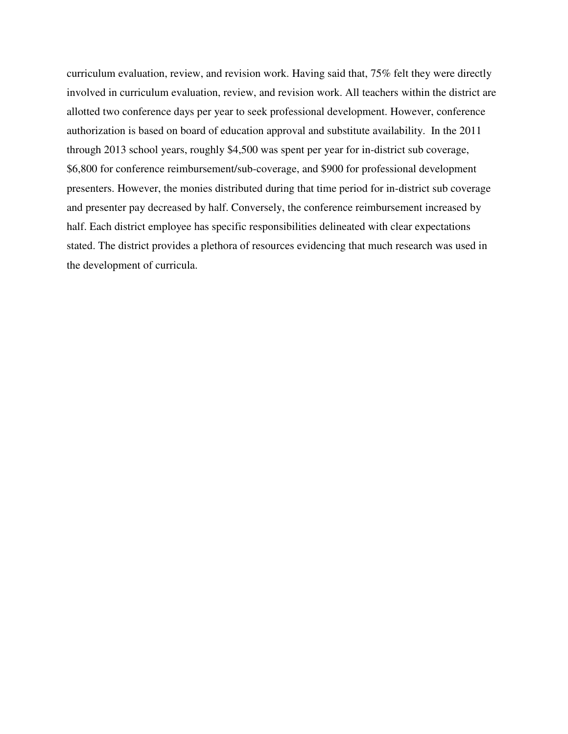curriculum evaluation, review, and revision work. Having said that, 75% felt they were directly involved in curriculum evaluation, review, and revision work. All teachers within the district are allotted two conference days per year to seek professional development. However, conference authorization is based on board of education approval and substitute availability. In the 2011 through 2013 school years, roughly \$4,500 was spent per year for in-district sub coverage, \$6,800 for conference reimbursement/sub-coverage, and \$900 for professional development presenters. However, the monies distributed during that time period for in-district sub coverage and presenter pay decreased by half. Conversely, the conference reimbursement increased by half. Each district employee has specific responsibilities delineated with clear expectations stated. The district provides a plethora of resources evidencing that much research was used in the development of curricula.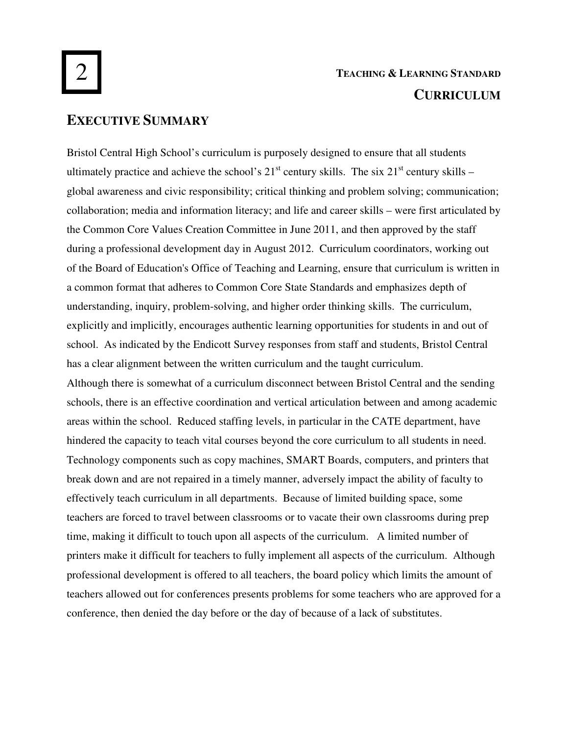# **TEACHING & LEARNING STANDARD CURRICULUM**

## **EXECUTIVE SUMMARY**

Bristol Central High School's curriculum is purposely designed to ensure that all students ultimately practice and achieve the school's  $21<sup>st</sup>$  century skills. The six  $21<sup>st</sup>$  century skills – global awareness and civic responsibility; critical thinking and problem solving; communication; collaboration; media and information literacy; and life and career skills – were first articulated by the Common Core Values Creation Committee in June 2011, and then approved by the staff during a professional development day in August 2012. Curriculum coordinators, working out of the Board of Education's Office of Teaching and Learning, ensure that curriculum is written in a common format that adheres to Common Core State Standards and emphasizes depth of understanding, inquiry, problem-solving, and higher order thinking skills. The curriculum, explicitly and implicitly, encourages authentic learning opportunities for students in and out of school. As indicated by the Endicott Survey responses from staff and students, Bristol Central has a clear alignment between the written curriculum and the taught curriculum. Although there is somewhat of a curriculum disconnect between Bristol Central and the sending schools, there is an effective coordination and vertical articulation between and among academic areas within the school. Reduced staffing levels, in particular in the CATE department, have hindered the capacity to teach vital courses beyond the core curriculum to all students in need. Technology components such as copy machines, SMART Boards, computers, and printers that break down and are not repaired in a timely manner, adversely impact the ability of faculty to effectively teach curriculum in all departments. Because of limited building space, some teachers are forced to travel between classrooms or to vacate their own classrooms during prep time, making it difficult to touch upon all aspects of the curriculum. A limited number of printers make it difficult for teachers to fully implement all aspects of the curriculum. Although professional development is offered to all teachers, the board policy which limits the amount of teachers allowed out for conferences presents problems for some teachers who are approved for a conference, then denied the day before or the day of because of a lack of substitutes.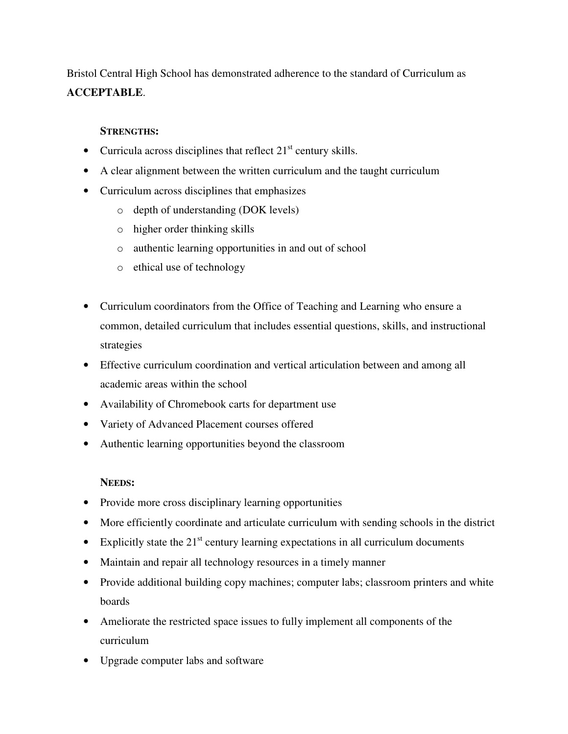Bristol Central High School has demonstrated adherence to the standard of Curriculum as **ACCEPTABLE**.

### **STRENGTHS:**

- Curricula across disciplines that reflect  $21<sup>st</sup>$  century skills.
- A clear alignment between the written curriculum and the taught curriculum
- Curriculum across disciplines that emphasizes
	- o depth of understanding (DOK levels)
	- o higher order thinking skills
	- o authentic learning opportunities in and out of school
	- o ethical use of technology
- Curriculum coordinators from the Office of Teaching and Learning who ensure a common, detailed curriculum that includes essential questions, skills, and instructional strategies
- Effective curriculum coordination and vertical articulation between and among all academic areas within the school
- Availability of Chromebook carts for department use
- Variety of Advanced Placement courses offered
- Authentic learning opportunities beyond the classroom

### **NEEDS:**

- Provide more cross disciplinary learning opportunities
- More efficiently coordinate and articulate curriculum with sending schools in the district
- Explicitly state the  $21<sup>st</sup>$  century learning expectations in all curriculum documents
- Maintain and repair all technology resources in a timely manner
- Provide additional building copy machines; computer labs; classroom printers and white boards
- Ameliorate the restricted space issues to fully implement all components of the curriculum
- Upgrade computer labs and software